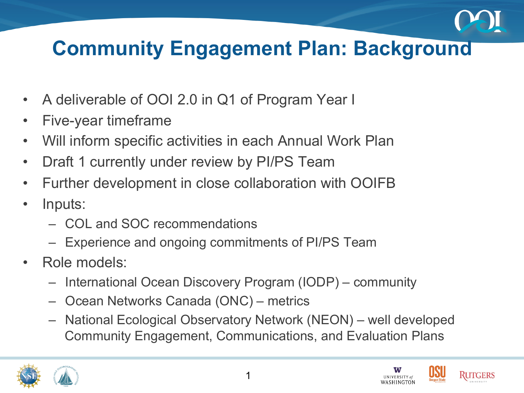

## **Community Engagement Plan: Background**

- A deliverable of OOI 2.0 in Q1 of Program Year I
- Five-year timeframe
- Will inform specific activities in each Annual Work Plan
- Draft 1 currently under review by PI/PS Team
- Further development in close collaboration with OOIFB
- Inputs:
	- COL and SOC recommendations
	- Experience and ongoing commitments of PI/PS Team
- Role models:
	- International Ocean Discovery Program (IODP) community
	- Ocean Networks Canada (ONC) metrics
	- National Ecological Observatory Network (NEON) well developed Community Engagement, Communications, and Evaluation Plans





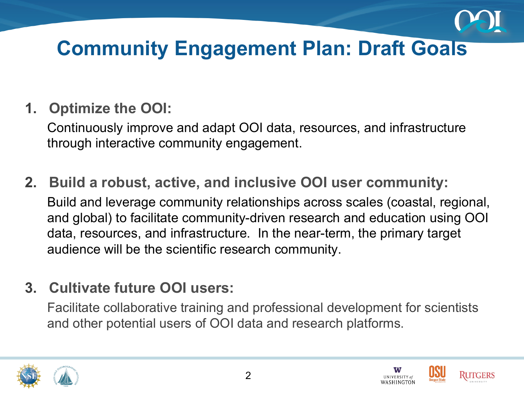

## **Community Engagement Plan: Draft Goals**

### **1. Optimize the OOI:**

Continuously improve and adapt OOI data, resources, and infrastructure through interactive community engagement.

**2. Build a robust, active, and inclusive OOI user community:** 

Build and leverage community relationships across scales (coastal, regional, and global) to facilitate community-driven research and education using OOI data, resources, and infrastructure. In the near-term, the primary target audience will be the scientific research community.

**3. Cultivate future OOI users:**

Facilitate collaborative training and professional development for scientists and other potential users of OOI data and research platforms.



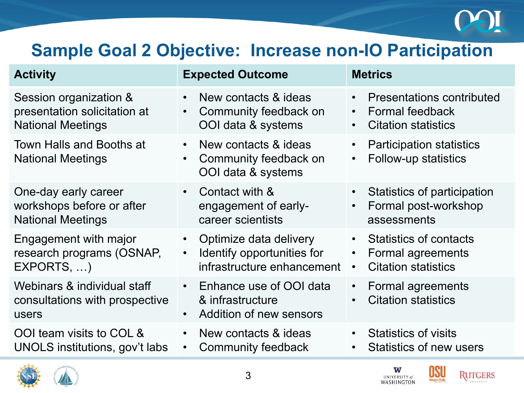

**RUTGERS** 

### **Sample Goal 2 Objective: Increase non-IO Participation**

| <b>Activity</b>                                                                    | <b>Expected Outcome</b>                                                                                      | <b>Metrics</b>                                                                                                           |
|------------------------------------------------------------------------------------|--------------------------------------------------------------------------------------------------------------|--------------------------------------------------------------------------------------------------------------------------|
| Session organization &<br>presentation solicitation at<br><b>National Meetings</b> | New contacts & ideas<br>$\bullet$<br>Community feedback on<br>$\bullet$<br>OOI data & systems                | <b>Presentations contributed</b><br>$\bullet$<br>Formal feedback<br>$\bullet$<br><b>Citation statistics</b><br>$\bullet$ |
| <b>Town Halls and Booths at</b><br><b>National Meetings</b>                        | New contacts & ideas<br>$\bullet$<br>Community feedback on<br>$\bullet$<br>OOI data & systems                | <b>Participation statistics</b><br>$\bullet$<br>Follow-up statistics<br>$\bullet$                                        |
| One-day early career<br>workshops before or after<br><b>National Meetings</b>      | Contact with &<br>$\bullet$<br>engagement of early-<br>career scientists                                     | Statistics of participation<br>$\bullet$<br>Formal post-workshop<br>$\bullet$<br>assessments                             |
| Engagement with major<br>research programs (OSNAP,<br>EXPORTS,                     | Optimize data delivery<br>$\bullet$<br>Identify opportunities for<br>$\bullet$<br>infrastructure enhancement | <b>Statistics of contacts</b><br>$\bullet$<br>Formal agreements<br>$\bullet$<br><b>Citation statistics</b><br>$\bullet$  |
| Webinars & individual staff<br>consultations with prospective<br>users             | Enhance use of OOI data<br>$\bullet$<br>& infrastructure<br>Addition of new sensors<br>$\bullet$             | Formal agreements<br>$\bullet$<br><b>Citation statistics</b><br>$\bullet$                                                |
| OOI team visits to COL &<br>UNOLS institutions, gov't labs                         | New contacts & ideas<br>$\bullet$<br>Community feedback<br>$\bullet$                                         | <b>Statistics of visits</b><br>$\bullet$<br>Statistics of new users<br>$\bullet$                                         |



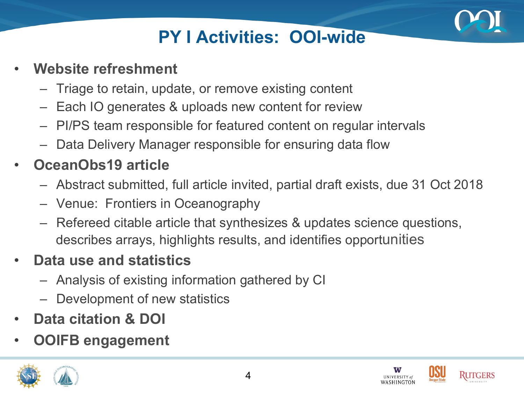

### **PY I Activities: OOI-wide**

### • **Website refreshment**

- Triage to retain, update, or remove existing content
- Each IO generates & uploads new content for review
- PI/PS team responsible for featured content on regular intervals
- Data Delivery Manager responsible for ensuring data flow

### • **OceanObs19 article**

- Abstract submitted, full article invited, partial draft exists, due 31 Oct 2018
- Venue: Frontiers in Oceanography
- Refereed citable article that synthesizes & updates science questions, describes arrays, highlights results, and identifies opportunities

### • **Data use and statistics**

- Analysis of existing information gathered by CI
- Development of new statistics
- **Data citation & DOI**
- **OOIFB engagement**





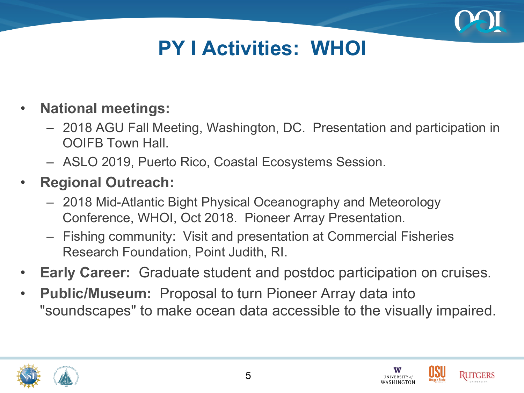

## **PY I Activities: WHOI**

- **National meetings:** 
	- 2018 AGU Fall Meeting, Washington, DC. Presentation and participation in OOIFB Town Hall.
	- ASLO 2019, Puerto Rico, Coastal Ecosystems Session.
- **Regional Outreach:** 
	- 2018 Mid-Atlantic Bight Physical Oceanography and Meteorology Conference, WHOI, Oct 2018. Pioneer Array Presentation.
	- Fishing community: Visit and presentation at Commercial Fisheries Research Foundation, Point Judith, RI.
- **Early Career:** Graduate student and postdoc participation on cruises.
- **Public/Museum:** Proposal to turn Pioneer Array data into "soundscapes" to make ocean data accessible to the visually impaired.





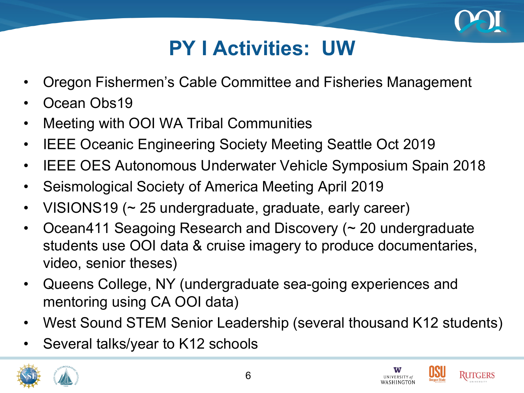

### **PY I Activities: UW**

- Oregon Fishermen's Cable Committee and Fisheries Management
- Ocean Obs19
- Meeting with OOI WA Tribal Communities
- IEEE Oceanic Engineering Society Meeting Seattle Oct 2019
- IEEE OES Autonomous Underwater Vehicle Symposium Spain 2018
- Seismological Society of America Meeting April 2019
- VISIONS19 (~ 25 undergraduate, graduate, early career)
- Ocean411 Seagoing Research and Discovery (~ 20 undergraduate students use OOI data & cruise imagery to produce documentaries, video, senior theses)
- Queens College, NY (undergraduate sea-going experiences and mentoring using CA OOI data)
- West Sound STEM Senior Leadership (several thousand K12 students)
- Several talks/year to K12 schools